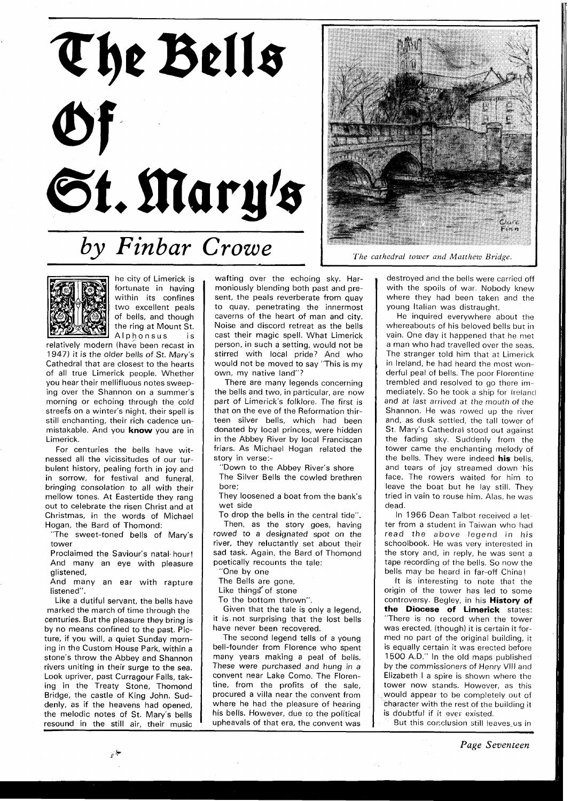



he city of Limerick is fortunate in having within its confines two excellent peals of bells, and though the ring at Mount St. Alphonsus is

relatively modern (have been recast in 1947) it is the older bells of St. Mary's Cathedral that are closest to the hearts of all true Limerick people. Whether you hear their mellifluous notes sweeping over the Shannon on a summer's morning or echoing through the cold streefs on a winter's night, their spell is still enchanting, their rich cadence unmistakable. And you **know** you are in Limerick.

For centuries the bells have witnessed all the vicissitudes of our turbulent history, pealing forth in joy and in sorrow, for festival and funeral, bringing consolation to all with their mellow tones. At Eastertide they rang out to celebrate the risen Christ and at Christmas, in the words of Michael Hogan, the Bard of Thomond:

"The sweet-toned bells of Mary's tower

Proclaimed the Saviour's natal hour! And many an eye with pleasure glistened,

And many an ear with rapture listened".

Like a dutiful servant, the bells have marked the march of time through the centuries. But the pleasure they bring is by no means confined to the past. Picture, if you will, a quiet Sunday morning in the Custom House Park, within a stone's throw the Abbey and Shannon rivers uniting in their surge to the sea. Look upriver, past Curragour Falls, taking in the Treaty Stone, Thomond Bridge, the castle of King John. Suddenly. as if the heavens had opened, the melodic notes of St. Mary's bells resound in the still air, their music

wafting over the echoing sky. Harmoniously blending both past and present, the peals reverberate from quay to quay, penetrating the innermost caverns of the heart of man and city. Noise and discord retreat as the bells cast their magic spell. What Limerick person. in such a setting, would not be stirred with local pride? And who would not be moved to say "This is my own, my native land"?

There are many legends concerning the bells and two, in particular, are now part of Limerick's folklore. The first is that on the eve of the Reformation thirteen silver bells, which had been donated by local princes, were hidden in the Abbey River by local Franciscan friars. As Michael Hogan related the story in verse:-

"Down to the Abbey River's shore The Silver Bells the cowled brethren

bore;

They loosened a boat from the bank's wet side

To drop the bells in the central tide". Then, as the story goes, having rowed to a designated spot on the river, they reluctantly set about their sad task. Again, the Bard of Thomond poetically recounts the tale:

"One by one

The Bells are gone,

Like things of stone

To the bottom thrown".

Given that the tale is only a legend, it is not surprising that the lost bells have never been recovered.

The second legend tells of a young bell-founder from Florence who spent many years making a peal of bells. These were purchased and hung in a convent near Lake Como. The Florentine, from the profits of the sale, procured a villa near the convent from where he had the pleasure of hearing his bells. However, due to the political upheavals of that era, the convent was



*The cathedral tower and Matthew Bridge.* 

destroyed and the bells were carried off with the spoils of war. Nobody knew where they had been taken and the young Italian was distraught.

He inquired everywhere about the whereabouts of his beloved bells but in vain. One day it happened that he met a man who had travelled over the seas. The stranger told him that at Limerick in Ireland, he had heard the most wonderful peal of bells. The poor Florentine trembled and resolved to go there immediately. So he took a ship for Ireland and at last arrived at the mouth of the Shannon. He was rowed up the river and, as dusk settled, the tall tower of St. Mary's Cathedral stood out against the fading sky. Suddenly from the tower came the enchanting melody of the bells. They were indeed **his** bells, and tears of joy streamed down 'his face. The rowers waited for him to leave the boat but he lay still. They tried in vain to rouse him. Alas, he was dead.

In 1966 Dean Talbot received a letter from a student in Taiwan who had read the above legend in his schoolbook. He was very interested in the story and, in reply, he was sent a tape recording of the bells. So now the bells may be heard in far-off China!

It is interesting to note that the origin of the tower has led to some controversy. Begley, in his **History of the Diocese of Limerick** states: "There is no record when the tower was erected, (though) it is certain it formed no part of the original building, it is equally certain it was erected before 1500 A.D." In the old maps published by the commissioners of Henry Vlll and Elizabeth I a spire is shown where the tower now stands. However, as this would appear to be completely out of character with the rest of the building it is doubtful if it ever existed.

But this conclusion still leaves us in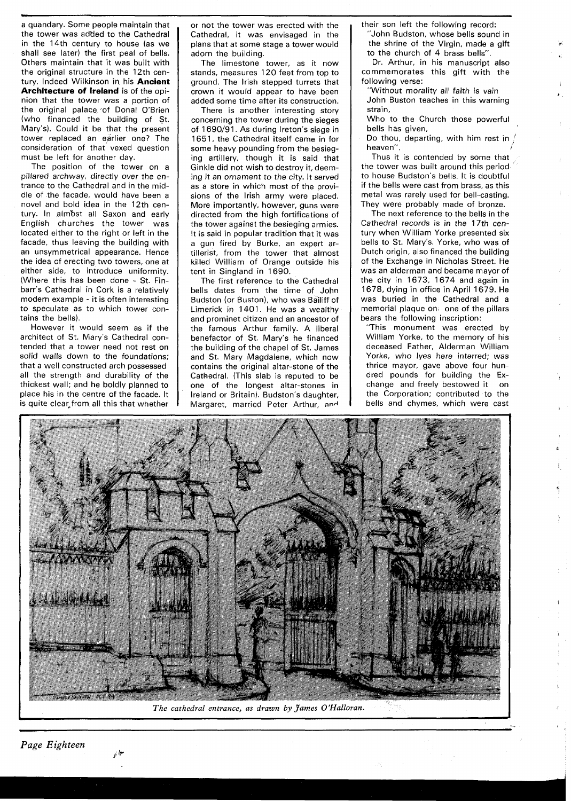a quandary. Some people maintain that the tower was added to the Cathedral in the 14th century to house (as we shall see later) the first peal of bells. Others maintain that it was built with the original structure in the 12th century. Indeed Wilkinson in his **Ancient Architecture of Ireland** is of the opinion that the tower was a portion of the original palace of Donal O'Brien (who financed the building of St. Mary's). Could it be that the present tower replaced an earlier one? The consideration of that vexed question must be left for another day.

The position of the tower on a pillared archway, directly over the entrance to the Cathedral and in the middle of the facade, would have been a novel and bold idea in the 12th century. In almbst all Saxon and early English churches the tower was located either to the right or left in the facade, thus leaving the building with an unsymmetrical appearance. Hence the idea of erecting two towers, one at either side, to introduce uniformity. (Where this has been done - St. Finbarr's Cathedral in Cork is a relatively modern example - it is often interesting to speculate as to which tower contains the bells).

However it would seem as if the architect of St. Mary's Cathedral contended that a tower need not rest on solid walls down to the foundations: that a well constructed arch possessed all the strength and durability of the thickest wall; and he boldly planned to place his in the centre of the facade. It is quite clear from all this that whether

or not the tower was erected with the Cathedral, it was envisaged in the plans that at some stage a tower would adorn the building.

The limestone tower, as it now stands, measures 120 feet from top to ground. The lrish stepped turrets that crown it would appear to have been added some time after its construction.

There is another interesting story concerning the tower during the sieges of 1690/91. As during Ireton's siege in 1651, the Cathedral itself came in for some heavy pounding from the besieging artillery, though it is said that Ginkle did not wish to destroy it, deeming it an ornament to the city. It served as a store in which most of the provisions of the Irish army were placed. More importantly, however, guns were directed from the high fortifications of the tower against the besieging armies. It is said in popular tradition that it was a gun fired by Burke, an expert artillerist, from the tower that almost killed William of Orange outside his tent in Singland in 1690.

The first reference to the Cathedral bells dates from the time of John Budston (or Buston), who was Bailiff of Limerick in 1401. He was a wealthy and prominet citizen and an ancestor of the famous Arthur family. A liberal benefactor of St. Mary's he financed the building of the chapel of St. James and St. Mary Magdalene, which now contains the original altar-stone of the Cathedral. (This slab is reputed to be one of the longest altar-stones in Ireland or Britain). Budston's daughter, Margaret, married Peter Arthur, and

their son left the following record:

"John Budston, whose bells sound in the shrine of the Virgin, made a gift to the church of 4 brass bells".

Dr. Arthur, in his manuscript also commemorates this gift with the following verse:

"Without morality all faith is vain John Buston teaches in this warning strain,

Who to the Church those powerful bells has given,

Do thou, departing, with him rest in  $\bigg/$ 

Thus it is contended by some that the tower was built around this period to house Budston's bells. It is doubtful if the bells were cast from brass, as this metal was rarely used for bell-casting. They were probably made of bronze.

The next reference to the bells in the Cathedral records is in the 17th century when William Yorke presented six bells to St. Mary's. Yorke, who was of Dutch origin, also financed the building of the Exchange in Nicholas Street. He was an alderman and became mayor of the city in 1673, 1674 and again in 1678, dying in office in April 1679. He was buried in the Cathedral and a memorial plaque on, one of the pillars bears the following inscription:

"This monument was erected by William Yorke, to the memory of his deceased Father, Alderman William Yorke, who lyes here interred; was thrice mayor, gave above four hundred pounds for building the Exchange and freely bestowed it on the Corporation; contributed to the bells and chymes, which were cast



I *The cathedral entrance, as drawn by James O'Halloran.* 

 $\frac{1}{2}$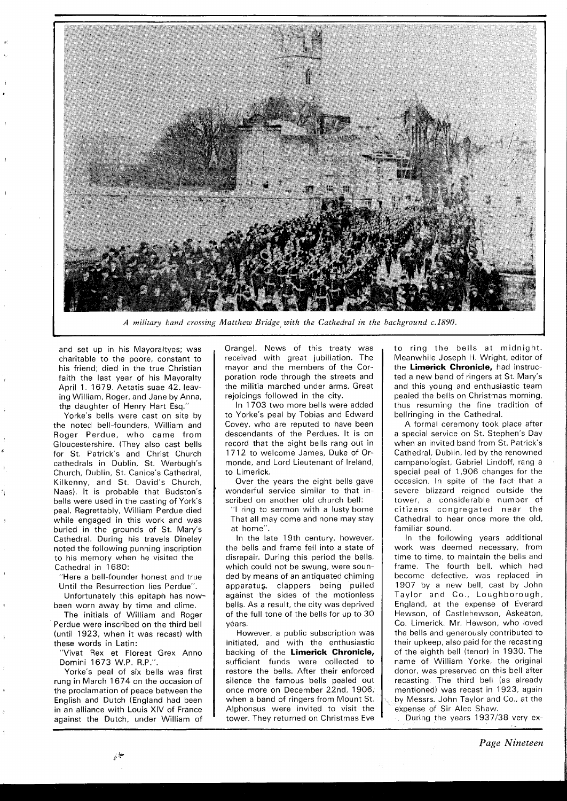

*A military band crossing Matthew Bridge with the Cathedral in the background c.1890.* 

and set up in his Mayoraltyes; was charitable to the poore, constant to his friend; died in the true Christian faith the last year of his Mayoralty April 1. 1679. Aetatis suae 42. leaving William, Roger, and Jane by Anna, thg daughter of Henry Hart Esq."

Yorke's bells were cast on site by the noted bell-founders, William and Roger Perdue, who came from Gloucestershire. (They also cast bells for St. Patrick's and Christ Church cathedrals in Dublin, St. Werbugh's Church, Dublin, St. Canice's Cathedral, Kilkenny, and St. David's Church, Naas). It is probable that Budston's bells were used in the casting of York's peal. Regrettably, William Perdue died while engaged in this work and was buried in the grounds of St. Mary's Cathedral. During his travels Dineley noted the following punning inscription to his memory when he visited the Cathedral in 1680:

"Here a bell-founder honest and true Until the Resurrection lies Perdue".

Unfortunately this epitaph has nowbeen worn away by time and clime.

The initials of William and Roger Perdue were inscribed on the third bell (until 1923, when it was recast) with these words in Latin:

"Vivat Rex et Floreat Grex Anno Domini 1673 W.P. R.P.".

Yorke's peal of six bells was first rung in March 1674 on the occasion of the proclamation of peace between the English and Dutch (England had been in an alliance with Louis XIV of France against the Dutch, under William of

Orange). News of this treaty was received with great jubiliation. The mayor and the members of the Corporation rode through the streets and the militia marched under arms. Great rejoicings followed in the city.

In 1703 two more bells were added to Yorke's peal by Tobias and Edward Covey, who are reputed to have been descendants of the Perdues. It is on record that the eight bells rang out in 1712 to welcome James, Duke of Ormonde, and Lord Lieutenant of Ireland, to Limerick.

Over the years the eight bells gave wonderful service similar to that inscribed on another old church bell:

"I ring to sermon with a lusty bome That all may come and none may stay at home".

In the late 19th century, however, the bells and frame fell into a state of disrepair. During this period the bells, which could not be swung, were sounded by means of an antiquated chiming apparatus, clappers being pulled against the sides of the motionless bells. As a result, the city was deprived of the full tone of the bells for up to 30 vėars.

However, a public subscription was initiated, and with the enthusiastic backing of the **Limerick Chronicle,**  sufficient funds were collected to restore the bells. After their enforced silence the famous bells pealed out once more on December 22nd, 1906, when a band of ringers from Mount St. Alphonsus were invited to visit the tower. They returned on Christmas Eve

to ring the bells at midnight. Meanwhile Joseph H. Wright, editor of the **Limerick Chronicle,** had instructed a new band of ringers at St. Mary's and this young and enthusiastic team pealed the bells on Christmas morning. thus resuming the fine tradition of bellringing in the Cathedral.

A formal ceremony took place after a special service on St. Stephen's Day when an invited band from St. Patrick's Cathedral, Dublin, led by the renowned campanologist, Gabriel Lindoff, rang **<sup>B</sup>** special peal of 1,906 changes for the occasion. In spite of the fact that a severe blizzard reigned outside the tower, a considerable number of citizens congregated near the Cathedral to hear once more the old. familiar sound.

In the following years additional work was deemed necessary, from time to time, to maintain the bells and frame. The fourth bell, which had become defective, was replaced in 1907 by a new bell, cast by John Taylor and Co., Loughborough, England, at the expense of Everard Hewson, of Castlehewson, Askeaton, Co. Limerick. Mr. Hewson, who loved the bells and generously contributed to their upkeep, also paid for the recasting of the eighth bell (tenor) in 1930. The name of William Yorke, the original donor, was preserved on this bell after recasting. The third bell (as already mentioned) was recast in 1923, again by Messrs. John Taylor and Co., at the expense of Sir Alec Shaw.

During the years 1937/38 very ex-